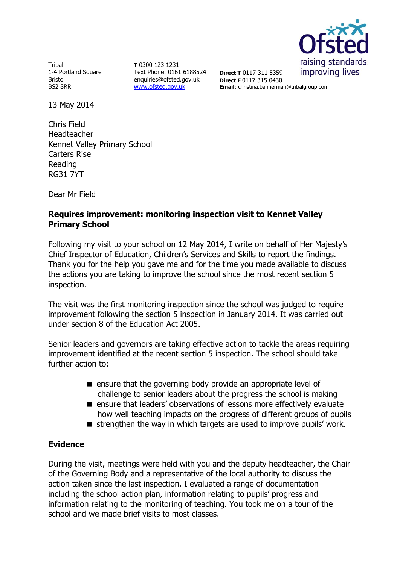

Tribal 1-4 Portland Square Bristol BS2 8RR

**T** 0300 123 1231 Text Phone: 0161 6188524 enquiries@ofsted.gov.uk [www.ofsted.gov.uk](http://www.ofsted.gov.uk/)

**Direct T** 0117 311 5359 **Direct F** 0117 315 0430 **Email**: christina.bannerman@tribalgroup.com

13 May 2014

Chris Field Headteacher Kennet Valley Primary School Carters Rise Reading RG31 7YT

Dear Mr Field

### **Requires improvement: monitoring inspection visit to Kennet Valley Primary School**

Following my visit to your school on 12 May 2014, I write on behalf of Her Majesty's Chief Inspector of Education, Children's Services and Skills to report the findings. Thank you for the help you gave me and for the time you made available to discuss the actions you are taking to improve the school since the most recent section 5 inspection.

The visit was the first monitoring inspection since the school was judged to require improvement following the section 5 inspection in January 2014. It was carried out under section 8 of the Education Act 2005.

Senior leaders and governors are taking effective action to tackle the areas requiring improvement identified at the recent section 5 inspection. The school should take further action to:

- **E** ensure that the governing body provide an appropriate level of challenge to senior leaders about the progress the school is making
- ensure that leaders' observations of lessons more effectively evaluate how well teaching impacts on the progress of different groups of pupils
- strengthen the way in which targets are used to improve pupils' work.

# **Evidence**

During the visit, meetings were held with you and the deputy headteacher, the Chair of the Governing Body and a representative of the local authority to discuss the action taken since the last inspection. I evaluated a range of documentation including the school action plan, information relating to pupils' progress and information relating to the monitoring of teaching. You took me on a tour of the school and we made brief visits to most classes.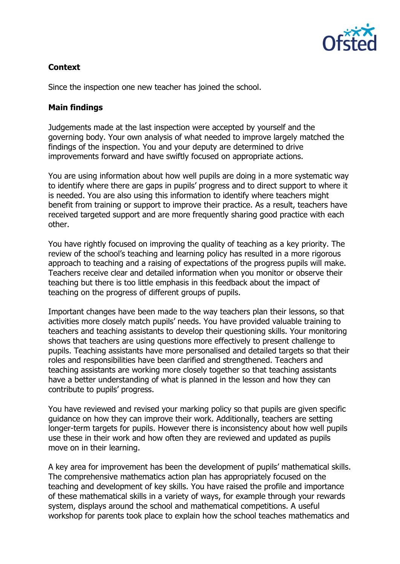

# **Context**

Since the inspection one new teacher has joined the school.

#### **Main findings**

Judgements made at the last inspection were accepted by yourself and the governing body. Your own analysis of what needed to improve largely matched the findings of the inspection. You and your deputy are determined to drive improvements forward and have swiftly focused on appropriate actions.

You are using information about how well pupils are doing in a more systematic way to identify where there are gaps in pupils' progress and to direct support to where it is needed. You are also using this information to identify where teachers might benefit from training or support to improve their practice. As a result, teachers have received targeted support and are more frequently sharing good practice with each other.

You have rightly focused on improving the quality of teaching as a key priority. The review of the school's teaching and learning policy has resulted in a more rigorous approach to teaching and a raising of expectations of the progress pupils will make. Teachers receive clear and detailed information when you monitor or observe their teaching but there is too little emphasis in this feedback about the impact of teaching on the progress of different groups of pupils.

Important changes have been made to the way teachers plan their lessons, so that activities more closely match pupils' needs. You have provided valuable training to teachers and teaching assistants to develop their questioning skills. Your monitoring shows that teachers are using questions more effectively to present challenge to pupils. Teaching assistants have more personalised and detailed targets so that their roles and responsibilities have been clarified and strengthened. Teachers and teaching assistants are working more closely together so that teaching assistants have a better understanding of what is planned in the lesson and how they can contribute to pupils' progress.

You have reviewed and revised your marking policy so that pupils are given specific guidance on how they can improve their work. Additionally, teachers are setting longer-term targets for pupils. However there is inconsistency about how well pupils use these in their work and how often they are reviewed and updated as pupils move on in their learning.

A key area for improvement has been the development of pupils' mathematical skills. The comprehensive mathematics action plan has appropriately focused on the teaching and development of key skills. You have raised the profile and importance of these mathematical skills in a variety of ways, for example through your rewards system, displays around the school and mathematical competitions. A useful workshop for parents took place to explain how the school teaches mathematics and